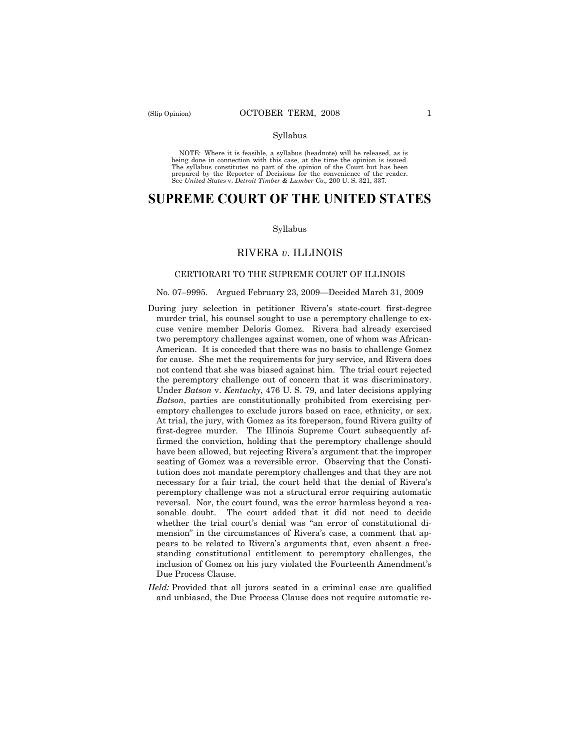#### Syllabus

NOTE: Where it is feasible, a syllabus (headnote) will be released, as is being done in connection with this case, at the time the opinion is issued. The syllabus constitutes no part of the opinion of the Court but has been<br>prepared by the Reporter of Decisions for the convenience of the reader.<br>See United States v. Detroit Timber & Lumber Co., 200 U. S. 321, 337.

# **SUPREME COURT OF THE UNITED STATES**

#### Syllabus

### RIVERA *v*. ILLINOIS

#### CERTIORARI TO THE SUPREME COURT OF ILLINOIS

#### No. 07–9995. Argued February 23, 2009—Decided March 31, 2009

- During jury selection in petitioner Rivera's state-court first-degree murder trial, his counsel sought to use a peremptory challenge to excuse venire member Deloris Gomez. Rivera had already exercised two peremptory challenges against women, one of whom was African-American. It is conceded that there was no basis to challenge Gomez for cause. She met the requirements for jury service, and Rivera does not contend that she was biased against him. The trial court rejected the peremptory challenge out of concern that it was discriminatory. Under *Batson* v. *Kentucky*, 476 U. S. 79, and later decisions applying *Batson*, parties are constitutionally prohibited from exercising peremptory challenges to exclude jurors based on race, ethnicity, or sex. At trial, the jury, with Gomez as its foreperson, found Rivera guilty of first-degree murder. The Illinois Supreme Court subsequently affirmed the conviction, holding that the peremptory challenge should have been allowed, but rejecting Rivera's argument that the improper seating of Gomez was a reversible error. Observing that the Constitution does not mandate peremptory challenges and that they are not necessary for a fair trial, the court held that the denial of Rivera's peremptory challenge was not a structural error requiring automatic reversal. Nor, the court found, was the error harmless beyond a reasonable doubt. The court added that it did not need to decide whether the trial court's denial was "an error of constitutional dimension" in the circumstances of Rivera's case, a comment that appears to be related to Rivera's arguments that, even absent a freestanding constitutional entitlement to peremptory challenges, the inclusion of Gomez on his jury violated the Fourteenth Amendment's Due Process Clause.
- *Held:* Provided that all jurors seated in a criminal case are qualified and unbiased, the Due Process Clause does not require automatic re-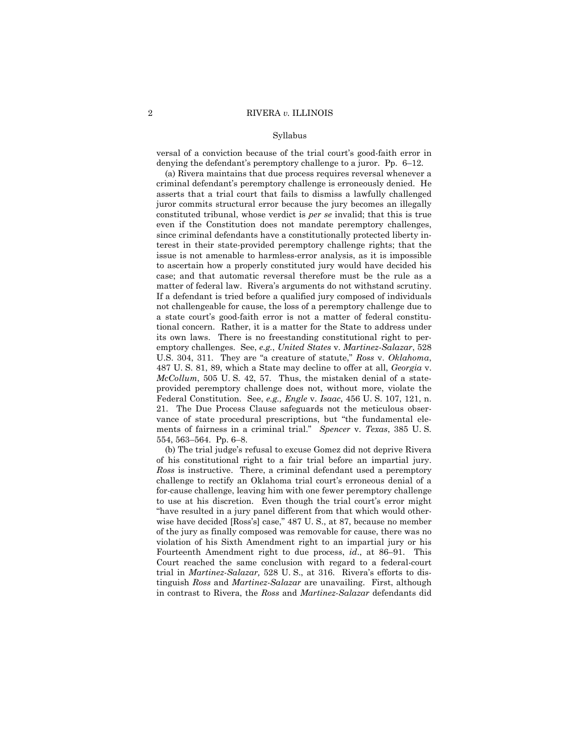#### Syllabus

versal of a conviction because of the trial court's good-faith error in denying the defendant's peremptory challenge to a juror. Pp. 6–12.

(a) Rivera maintains that due process requires reversal whenever a criminal defendant's peremptory challenge is erroneously denied. He asserts that a trial court that fails to dismiss a lawfully challenged juror commits structural error because the jury becomes an illegally constituted tribunal, whose verdict is *per se* invalid; that this is true even if the Constitution does not mandate peremptory challenges, since criminal defendants have a constitutionally protected liberty interest in their state-provided peremptory challenge rights; that the issue is not amenable to harmless-error analysis, as it is impossible to ascertain how a properly constituted jury would have decided his case; and that automatic reversal therefore must be the rule as a matter of federal law. Rivera's arguments do not withstand scrutiny. If a defendant is tried before a qualified jury composed of individuals not challengeable for cause, the loss of a peremptory challenge due to a state court's good-faith error is not a matter of federal constitutional concern. Rather, it is a matter for the State to address under its own laws. There is no freestanding constitutional right to peremptory challenges. See, *e.g.*, *United States* v. *Martinez-Salazar*, 528 U.S. 304, 311. They are "a creature of statute," *Ross* v. *Oklahoma*, 487 U. S. 81, 89, which a State may decline to offer at all, *Georgia* v. *McCollum*, 505 U. S. 42, 57. Thus, the mistaken denial of a stateprovided peremptory challenge does not, without more, violate the Federal Constitution. See, *e.g., Engle* v. *Isaac*, 456 U. S. 107, 121, n. 21. The Due Process Clause safeguards not the meticulous observance of state procedural prescriptions, but "the fundamental elements of fairness in a criminal trial." *Spencer* v. *Texas*, 385 U. S. 554, 563–564. Pp. 6–8.

(b) The trial judge's refusal to excuse Gomez did not deprive Rivera of his constitutional right to a fair trial before an impartial jury. *Ross* is instructive. There, a criminal defendant used a peremptory challenge to rectify an Oklahoma trial court's erroneous denial of a for-cause challenge, leaving him with one fewer peremptory challenge to use at his discretion. Even though the trial court's error might "have resulted in a jury panel different from that which would otherwise have decided [Ross's] case," 487 U. S., at 87, because no member of the jury as finally composed was removable for cause, there was no violation of his Sixth Amendment right to an impartial jury or his Fourteenth Amendment right to due process, *id*., at 86–91. This Court reached the same conclusion with regard to a federal-court trial in *Martinez-Salazar,* 528 U. S., at 316. Rivera's efforts to distinguish *Ross* and *Martinez-Salazar* are unavailing. First, although in contrast to Rivera, the *Ross* and *Martinez-Salazar* defendants did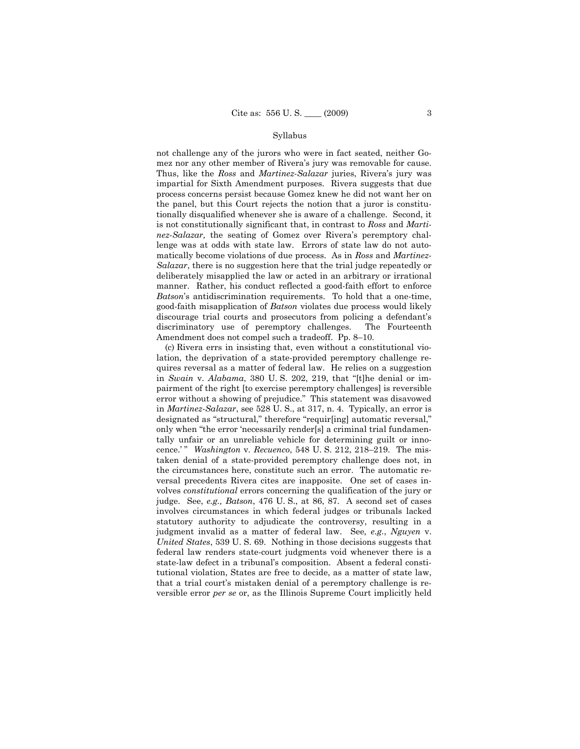#### Syllabus

not challenge any of the jurors who were in fact seated, neither Gomez nor any other member of Rivera's jury was removable for cause. Thus, like the *Ross* and *Martinez-Salazar* juries, Rivera's jury was impartial for Sixth Amendment purposes. Rivera suggests that due process concerns persist because Gomez knew he did not want her on the panel, but this Court rejects the notion that a juror is constitutionally disqualified whenever she is aware of a challenge. Second, it is not constitutionally significant that, in contrast to *Ross* and *Martinez-Salazar,* the seating of Gomez over Rivera's peremptory challenge was at odds with state law. Errors of state law do not automatically become violations of due process. As in *Ross* and *Martinez-Salazar*, there is no suggestion here that the trial judge repeatedly or deliberately misapplied the law or acted in an arbitrary or irrational manner. Rather, his conduct reflected a good-faith effort to enforce *Batson*'s antidiscrimination requirements. To hold that a one-time, good-faith misapplication of *Batson* violates due process would likely discourage trial courts and prosecutors from policing a defendant's discriminatory use of peremptory challenges. The Fourteenth Amendment does not compel such a tradeoff. Pp. 8–10.

(c) Rivera errs in insisting that, even without a constitutional violation, the deprivation of a state-provided peremptory challenge requires reversal as a matter of federal law. He relies on a suggestion in *Swain* v. *Alabama*, 380 U. S. 202, 219, that "[t]he denial or impairment of the right [to exercise peremptory challenges] is reversible error without a showing of prejudice." This statement was disavowed in *Martinez-Salazar*, see 528 U. S., at 317, n. 4. Typically, an error is designated as "structural," therefore "requir[ing] automatic reversal," only when "the error 'necessarily render[s] a criminal trial fundamentally unfair or an unreliable vehicle for determining guilt or innocence.' " *Washington* v. *Recuenco*, 548 U. S. 212, 218–219. The mistaken denial of a state-provided peremptory challenge does not, in the circumstances here, constitute such an error. The automatic reversal precedents Rivera cites are inapposite. One set of cases involves *constitutional* errors concerning the qualification of the jury or judge. See, *e.g., Batson*, 476 U. S., at 86, 87. A second set of cases involves circumstances in which federal judges or tribunals lacked statutory authority to adjudicate the controversy, resulting in a judgment invalid as a matter of federal law. See*, e.g.*, *Nguyen* v. *United States*, 539 U. S. 69. Nothing in those decisions suggests that federal law renders state-court judgments void whenever there is a state-law defect in a tribunal's composition. Absent a federal constitutional violation, States are free to decide, as a matter of state law, that a trial court's mistaken denial of a peremptory challenge is reversible error *per se* or, as the Illinois Supreme Court implicitly held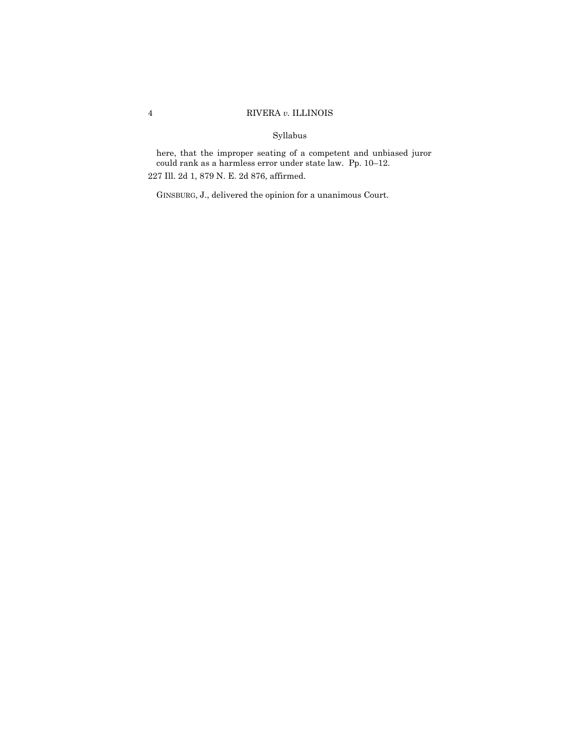# Syllabus

here, that the improper seating of a competent and unbiased juror could rank as a harmless error under state law. Pp. 10–12. 227 Ill. 2d 1, 879 N. E. 2d 876, affirmed.

GINSBURG, J., delivered the opinion for a unanimous Court.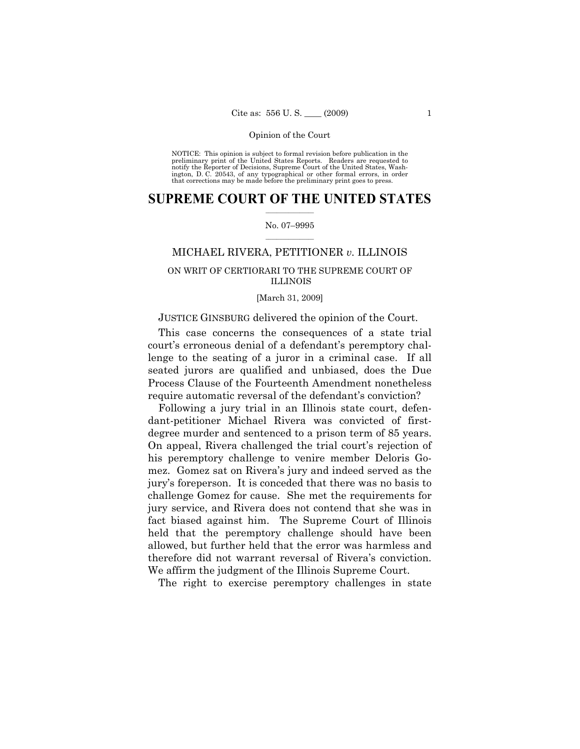NOTICE: This opinion is subject to formal revision before publication in the preliminary print of the United States Reports. Readers are requested to notify the Reporter of Decisions, Supreme Court of the United States, Washington, D. C. 20543, of any typographical or other formal errors, in order that corrections may be made before the preliminary print goes to press.

### $\frac{1}{2}$  ,  $\frac{1}{2}$  ,  $\frac{1}{2}$  ,  $\frac{1}{2}$  ,  $\frac{1}{2}$  ,  $\frac{1}{2}$  ,  $\frac{1}{2}$ **SUPREME COURT OF THE UNITED STATES**

#### $\frac{1}{2}$  ,  $\frac{1}{2}$  ,  $\frac{1}{2}$  ,  $\frac{1}{2}$  ,  $\frac{1}{2}$  ,  $\frac{1}{2}$ No. 07–9995

### MICHAEL RIVERA, PETITIONER *v.* ILLINOIS

# ON WRIT OF CERTIORARI TO THE SUPREME COURT OF ILLINOIS

#### [March 31, 2009]

### JUSTICE GINSBURG delivered the opinion of the Court.

This case concerns the consequences of a state trial court's erroneous denial of a defendant's peremptory challenge to the seating of a juror in a criminal case. If all seated jurors are qualified and unbiased, does the Due Process Clause of the Fourteenth Amendment nonetheless require automatic reversal of the defendant's conviction?

Following a jury trial in an Illinois state court, defendant-petitioner Michael Rivera was convicted of firstdegree murder and sentenced to a prison term of 85 years. On appeal, Rivera challenged the trial court's rejection of his peremptory challenge to venire member Deloris Gomez. Gomez sat on Rivera's jury and indeed served as the jury's foreperson. It is conceded that there was no basis to challenge Gomez for cause. She met the requirements for jury service, and Rivera does not contend that she was in fact biased against him. The Supreme Court of Illinois held that the peremptory challenge should have been allowed, but further held that the error was harmless and therefore did not warrant reversal of Rivera's conviction. We affirm the judgment of the Illinois Supreme Court.

The right to exercise peremptory challenges in state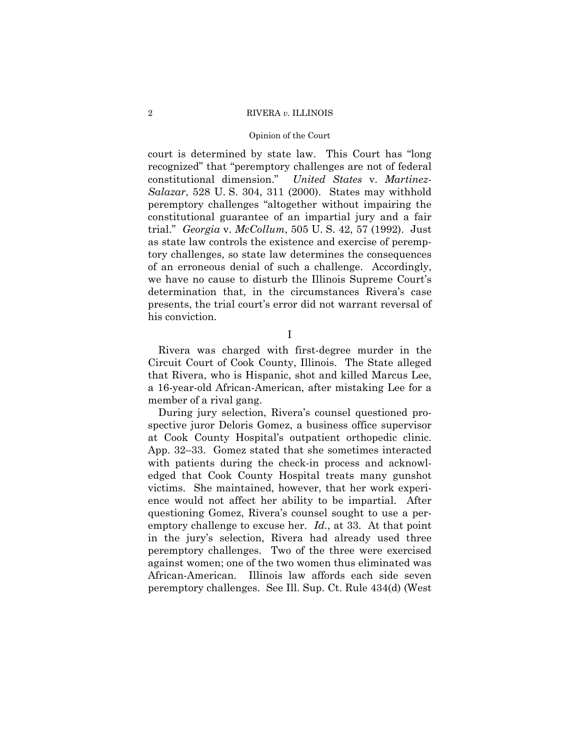#### Opinion of the Court

court is determined by state law. This Court has "long recognized" that "peremptory challenges are not of federal constitutional dimension." *United States* v. *Martinez-Salazar*, 528 U. S. 304, 311 (2000). States may withhold peremptory challenges "altogether without impairing the constitutional guarantee of an impartial jury and a fair trial." *Georgia* v. *McCollum*, 505 U. S. 42, 57 (1992). Just as state law controls the existence and exercise of peremptory challenges, so state law determines the consequences of an erroneous denial of such a challenge. Accordingly, we have no cause to disturb the Illinois Supreme Court's determination that, in the circumstances Rivera's case presents, the trial court's error did not warrant reversal of his conviction.

I

Rivera was charged with first-degree murder in the Circuit Court of Cook County, Illinois. The State alleged that Rivera, who is Hispanic, shot and killed Marcus Lee, a 16-year-old African-American, after mistaking Lee for a member of a rival gang.

During jury selection, Rivera's counsel questioned prospective juror Deloris Gomez, a business office supervisor at Cook County Hospital's outpatient orthopedic clinic. App. 32–33. Gomez stated that she sometimes interacted with patients during the check-in process and acknowledged that Cook County Hospital treats many gunshot victims. She maintained, however, that her work experience would not affect her ability to be impartial. After questioning Gomez, Rivera's counsel sought to use a peremptory challenge to excuse her. *Id.*, at 33. At that point in the jury's selection, Rivera had already used three peremptory challenges. Two of the three were exercised against women; one of the two women thus eliminated was African-American. Illinois law affords each side seven peremptory challenges. See Ill. Sup. Ct. Rule 434(d) (West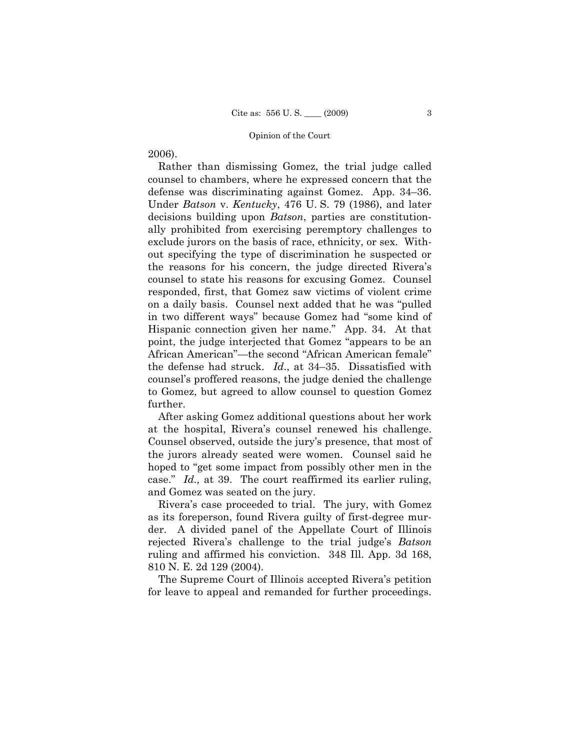# 2006).

Rather than dismissing Gomez, the trial judge called counsel to chambers, where he expressed concern that the defense was discriminating against Gomez. App. 34–36. Under *Batson* v. *Kentucky*, 476 U. S. 79 (1986), and later decisions building upon *Batson*, parties are constitutionally prohibited from exercising peremptory challenges to exclude jurors on the basis of race, ethnicity, or sex. Without specifying the type of discrimination he suspected or the reasons for his concern, the judge directed Rivera's counsel to state his reasons for excusing Gomez. Counsel responded, first, that Gomez saw victims of violent crime on a daily basis. Counsel next added that he was "pulled in two different ways" because Gomez had "some kind of Hispanic connection given her name." App. 34. At that point, the judge interjected that Gomez "appears to be an African American"—the second "African American female" the defense had struck. *Id*., at 34–35. Dissatisfied with counsel's proffered reasons, the judge denied the challenge to Gomez, but agreed to allow counsel to question Gomez further.

After asking Gomez additional questions about her work at the hospital, Rivera's counsel renewed his challenge. Counsel observed, outside the jury's presence, that most of the jurors already seated were women. Counsel said he hoped to "get some impact from possibly other men in the case." *Id.,* at 39. The court reaffirmed its earlier ruling, and Gomez was seated on the jury.

Rivera's case proceeded to trial. The jury, with Gomez as its foreperson, found Rivera guilty of first-degree murder. A divided panel of the Appellate Court of Illinois rejected Rivera's challenge to the trial judge's *Batson*  ruling and affirmed his conviction. 348 Ill. App. 3d 168, 810 N. E. 2d 129 (2004).

The Supreme Court of Illinois accepted Rivera's petition for leave to appeal and remanded for further proceedings.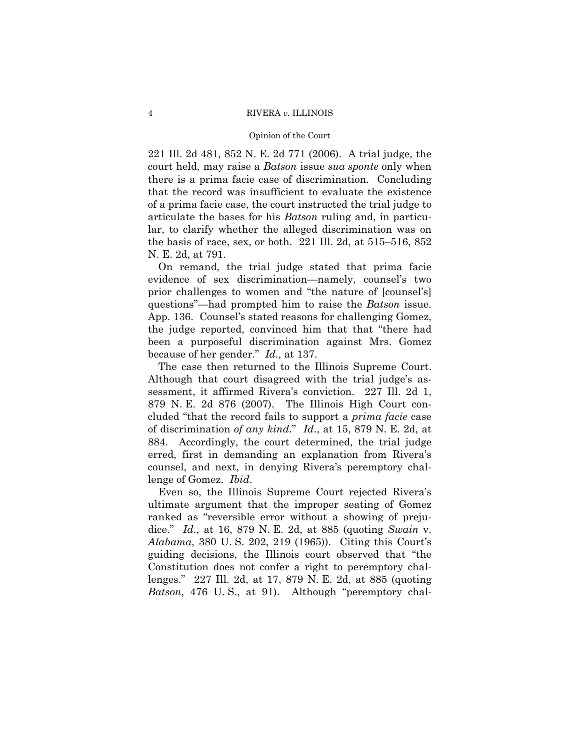#### Opinion of the Court

221 Ill. 2d 481, 852 N. E. 2d 771 (2006). A trial judge, the court held, may raise a *Batson* issue *sua sponte* only when there is a prima facie case of discrimination. Concluding that the record was insufficient to evaluate the existence of a prima facie case, the court instructed the trial judge to articulate the bases for his *Batson* ruling and, in particular, to clarify whether the alleged discrimination was on the basis of race, sex, or both. 221 Ill. 2d, at 515–516, 852 N. E. 2d, at 791.

On remand, the trial judge stated that prima facie evidence of sex discrimination—namely, counsel's two prior challenges to women and "the nature of [counsel's] questions"—had prompted him to raise the *Batson* issue. App. 136. Counsel's stated reasons for challenging Gomez, the judge reported, convinced him that that "there had been a purposeful discrimination against Mrs. Gomez because of her gender." *Id.,* at 137.

The case then returned to the Illinois Supreme Court. Although that court disagreed with the trial judge's assessment, it affirmed Rivera's conviction. 227 Ill. 2d 1, 879 N. E. 2d 876 (2007). The Illinois High Court concluded "that the record fails to support a *prima facie* case of discrimination *of any kind*." *Id*., at 15, 879 N. E. 2d, at 884. Accordingly, the court determined, the trial judge erred, first in demanding an explanation from Rivera's counsel, and next, in denying Rivera's peremptory challenge of Gomez. *Ibid*.

Even so, the Illinois Supreme Court rejected Rivera's ultimate argument that the improper seating of Gomez ranked as "reversible error without a showing of prejudice." *Id*., at 16, 879 N. E. 2d, at 885 (quoting *Swain* v. *Alabama*, 380 U. S. 202, 219 (1965)). Citing this Court's guiding decisions, the Illinois court observed that "the Constitution does not confer a right to peremptory challenges." 227 Ill. 2d, at 17, 879 N. E. 2d, at 885 (quoting *Batson*, 476 U.S., at 91). Although "peremptory chal-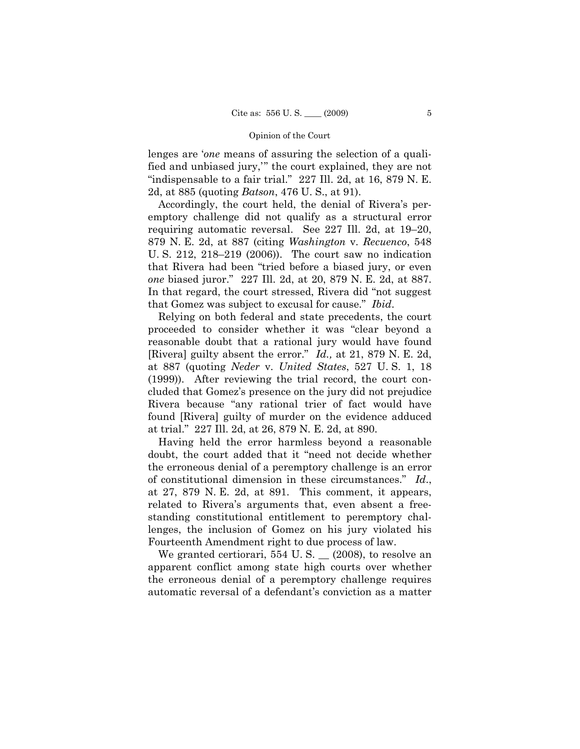lenges are '*one* means of assuring the selection of a qualified and unbiased jury,'" the court explained, they are not "indispensable to a fair trial." 227 Ill. 2d, at 16, 879 N. E. 2d, at 885 (quoting *Batson*, 476 U. S., at 91).

Accordingly, the court held, the denial of Rivera's peremptory challenge did not qualify as a structural error requiring automatic reversal. See 227 Ill. 2d, at 19–20, 879 N. E. 2d, at 887 (citing *Washington* v. *Recuenco*, 548 U. S. 212, 218–219 (2006)). The court saw no indication that Rivera had been "tried before a biased jury, or even *one* biased juror." 227 Ill. 2d, at 20, 879 N. E. 2d, at 887. In that regard, the court stressed, Rivera did "not suggest that Gomez was subject to excusal for cause." *Ibid*.

Relying on both federal and state precedents, the court proceeded to consider whether it was "clear beyond a reasonable doubt that a rational jury would have found [Rivera] guilty absent the error." *Id.,* at 21, 879 N. E. 2d, at 887 (quoting *Neder* v. *United States*, 527 U. S. 1, 18 (1999)). After reviewing the trial record, the court concluded that Gomez's presence on the jury did not prejudice Rivera because "any rational trier of fact would have found [Rivera] guilty of murder on the evidence adduced at trial." 227 Ill. 2d, at 26, 879 N. E. 2d, at 890.

Having held the error harmless beyond a reasonable doubt, the court added that it "need not decide whether the erroneous denial of a peremptory challenge is an error of constitutional dimension in these circumstances." *Id*., at 27, 879 N. E. 2d, at 891. This comment, it appears, related to Rivera's arguments that, even absent a freestanding constitutional entitlement to peremptory challenges, the inclusion of Gomez on his jury violated his Fourteenth Amendment right to due process of law.

We granted certiorari, 554 U.S. \_ (2008), to resolve an apparent conflict among state high courts over whether the erroneous denial of a peremptory challenge requires automatic reversal of a defendant's conviction as a matter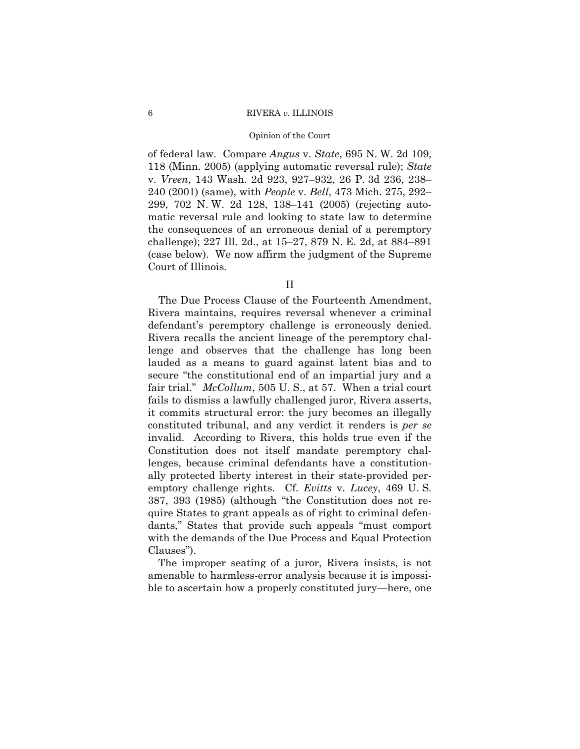#### Opinion of the Court

of federal law. Compare *Angus* v. *State*, 695 N. W. 2d 109, 118 (Minn. 2005) (applying automatic reversal rule); *State*  v. *Vreen*, 143 Wash. 2d 923, 927–932, 26 P. 3d 236, 238– 240 (2001) (same), with *People* v. *Bell*, 473 Mich. 275, 292– 299, 702 N. W. 2d 128, 138–141 (2005) (rejecting automatic reversal rule and looking to state law to determine the consequences of an erroneous denial of a peremptory challenge); 227 Ill. 2d., at 15–27, 879 N. E. 2d, at 884–891 (case below). We now affirm the judgment of the Supreme Court of Illinois.

II

The Due Process Clause of the Fourteenth Amendment, Rivera maintains, requires reversal whenever a criminal defendant's peremptory challenge is erroneously denied. Rivera recalls the ancient lineage of the peremptory challenge and observes that the challenge has long been lauded as a means to guard against latent bias and to secure "the constitutional end of an impartial jury and a fair trial." *McCollum*, 505 U.S., at 57. When a trial court fails to dismiss a lawfully challenged juror, Rivera asserts, it commits structural error: the jury becomes an illegally constituted tribunal, and any verdict it renders is *per se*  invalid. According to Rivera, this holds true even if the Constitution does not itself mandate peremptory challenges, because criminal defendants have a constitutionally protected liberty interest in their state-provided peremptory challenge rights. Cf. *Evitts* v. *Lucey*, 469 U. S. 387, 393 (1985) (although "the Constitution does not require States to grant appeals as of right to criminal defendants," States that provide such appeals "must comport with the demands of the Due Process and Equal Protection Clauses").

The improper seating of a juror, Rivera insists, is not amenable to harmless-error analysis because it is impossible to ascertain how a properly constituted jury—here, one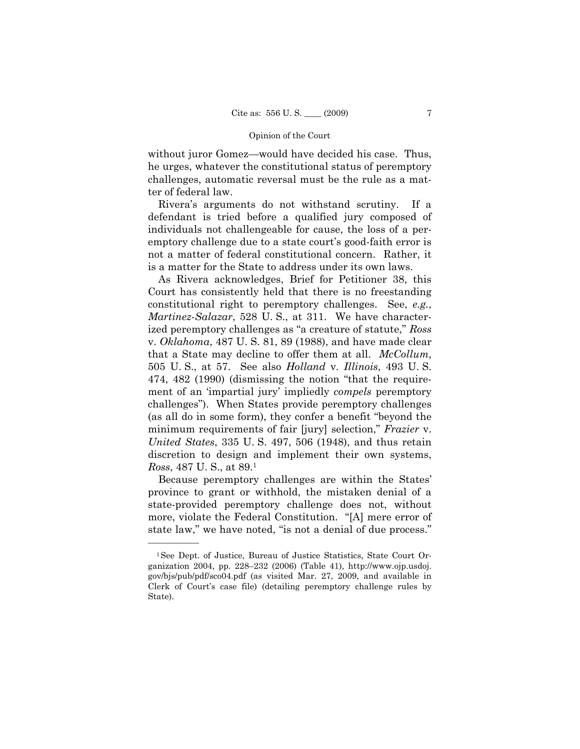without juror Gomez—would have decided his case. Thus, he urges, whatever the constitutional status of peremptory challenges, automatic reversal must be the rule as a matter of federal law.

Rivera's arguments do not withstand scrutiny. If a defendant is tried before a qualified jury composed of individuals not challengeable for cause, the loss of a peremptory challenge due to a state court's good-faith error is not a matter of federal constitutional concern. Rather, it is a matter for the State to address under its own laws.

As Rivera acknowledges, Brief for Petitioner 38, this Court has consistently held that there is no freestanding constitutional right to peremptory challenges. See, *e.g.*, *Martinez-Salazar*, 528 U. S., at 311. We have characterized peremptory challenges as "a creature of statute," *Ross*  v. *Oklahoma*, 487 U. S. 81, 89 (1988), and have made clear that a State may decline to offer them at all. *McCollum*, 505 U. S., at 57. See also *Holland* v. *Illinois*, 493 U. S. 474, 482 (1990) (dismissing the notion "that the requirement of an 'impartial jury' impliedly *compels* peremptory challenges"). When States provide peremptory challenges (as all do in some form), they confer a benefit "beyond the minimum requirements of fair [jury] selection," *Frazier* v. *United States*, 335 U. S. 497, 506 (1948), and thus retain discretion to design and implement their own systems, *Ross*, 487 U. S., at 89.1

Because peremptory challenges are within the States' province to grant or withhold, the mistaken denial of a state-provided peremptory challenge does not, without more, violate the Federal Constitution. "[A] mere error of state law," we have noted, "is not a denial of due process."

——————

<sup>1</sup>See Dept. of Justice, Bureau of Justice Statistics, State Court Organization 2004, pp. 228–232 (2006) (Table 41), http://www.ojp.usdoj. gov/bjs/pub/pdf/sco04.pdf (as visited Mar. 27, 2009, and available in Clerk of Court's case file) (detailing peremptory challenge rules by State).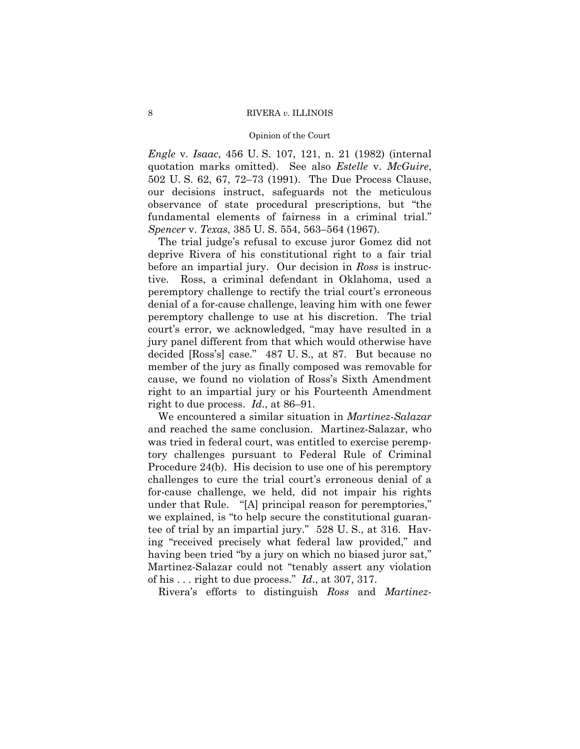#### Opinion of the Court

*Engle* v. *Isaac*, 456 U. S. 107, 121, n. 21 (1982) (internal quotation marks omitted). See also *Estelle* v. *McGuire*, 502 U. S. 62, 67, 72–73 (1991). The Due Process Clause, our decisions instruct, safeguards not the meticulous observance of state procedural prescriptions, but "the fundamental elements of fairness in a criminal trial." *Spencer* v. *Texas*, 385 U. S. 554, 563–564 (1967).

The trial judge's refusal to excuse juror Gomez did not deprive Rivera of his constitutional right to a fair trial before an impartial jury. Our decision in *Ross* is instructive. Ross, a criminal defendant in Oklahoma, used a peremptory challenge to rectify the trial court's erroneous denial of a for-cause challenge, leaving him with one fewer peremptory challenge to use at his discretion. The trial court's error, we acknowledged, "may have resulted in a jury panel different from that which would otherwise have decided [Ross's] case." 487 U. S., at 87. But because no member of the jury as finally composed was removable for cause, we found no violation of Ross's Sixth Amendment right to an impartial jury or his Fourteenth Amendment right to due process. *Id*., at 86–91.

We encountered a similar situation in *Martinez-Salazar*  and reached the same conclusion. Martinez-Salazar, who was tried in federal court, was entitled to exercise peremptory challenges pursuant to Federal Rule of Criminal Procedure 24(b). His decision to use one of his peremptory challenges to cure the trial court's erroneous denial of a for-cause challenge, we held, did not impair his rights under that Rule. "[A] principal reason for peremptories," we explained, is "to help secure the constitutional guarantee of trial by an impartial jury." 528 U. S., at 316. Having "received precisely what federal law provided," and having been tried "by a jury on which no biased juror sat," Martinez-Salazar could not "tenably assert any violation of his . . . right to due process." *Id*., at 307, 317.

Rivera's efforts to distinguish *Ross* and *Martinez-*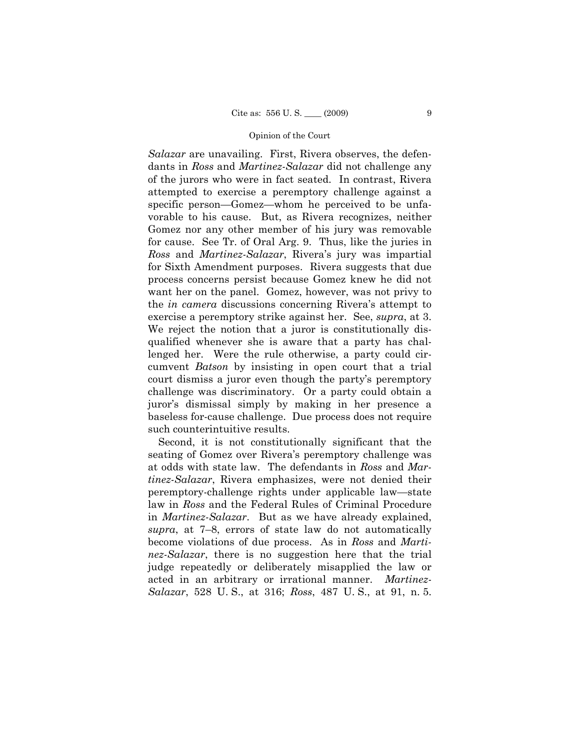*Salazar* are unavailing. First, Rivera observes, the defendants in *Ross* and *Martinez-Salazar* did not challenge any of the jurors who were in fact seated. In contrast, Rivera attempted to exercise a peremptory challenge against a specific person—Gomez—whom he perceived to be unfavorable to his cause. But, as Rivera recognizes, neither Gomez nor any other member of his jury was removable for cause. See Tr. of Oral Arg. 9. Thus, like the juries in *Ross* and *Martinez-Salazar*, Rivera's jury was impartial for Sixth Amendment purposes. Rivera suggests that due process concerns persist because Gomez knew he did not want her on the panel. Gomez, however, was not privy to the *in camera* discussions concerning Rivera's attempt to exercise a peremptory strike against her. See, *supra*, at 3. We reject the notion that a juror is constitutionally disqualified whenever she is aware that a party has challenged her. Were the rule otherwise, a party could circumvent *Batson* by insisting in open court that a trial court dismiss a juror even though the party's peremptory challenge was discriminatory. Or a party could obtain a juror's dismissal simply by making in her presence a baseless for-cause challenge. Due process does not require such counterintuitive results.

Second, it is not constitutionally significant that the seating of Gomez over Rivera's peremptory challenge was at odds with state law. The defendants in *Ross* and *Martinez-Salazar*, Rivera emphasizes, were not denied their peremptory-challenge rights under applicable law—state law in *Ross* and the Federal Rules of Criminal Procedure in *Martinez-Salazar*. But as we have already explained, *supra*, at 7–8, errors of state law do not automatically become violations of due process. As in *Ross* and *Martinez-Salazar*, there is no suggestion here that the trial judge repeatedly or deliberately misapplied the law or acted in an arbitrary or irrational manner. *Martinez-Salazar*, 528 U. S., at 316; *Ross*, 487 U. S., at 91, n. 5.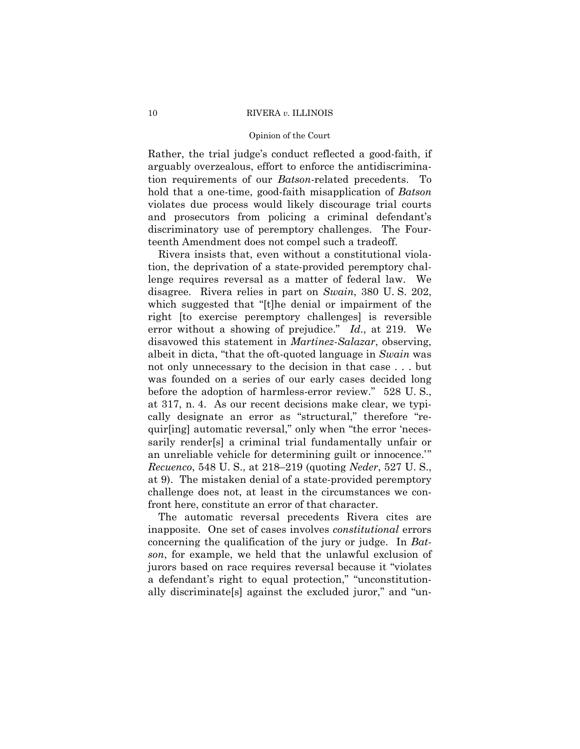#### Opinion of the Court

Rather, the trial judge's conduct reflected a good-faith, if arguably overzealous, effort to enforce the antidiscrimination requirements of our *Batson*-related precedents. To hold that a one-time, good-faith misapplication of *Batson*  violates due process would likely discourage trial courts and prosecutors from policing a criminal defendant's discriminatory use of peremptory challenges. The Fourteenth Amendment does not compel such a tradeoff.

Rivera insists that, even without a constitutional violation, the deprivation of a state-provided peremptory challenge requires reversal as a matter of federal law. We disagree. Rivera relies in part on *Swain*, 380 U. S. 202, which suggested that "[t]he denial or impairment of the right [to exercise peremptory challenges] is reversible error without a showing of prejudice." *Id*., at 219. We disavowed this statement in *Martinez-Salazar*, observing, albeit in dicta, "that the oft-quoted language in *Swain* was not only unnecessary to the decision in that case . . . but was founded on a series of our early cases decided long before the adoption of harmless-error review." 528 U. S., at 317, n. 4. As our recent decisions make clear, we typically designate an error as "structural," therefore "requir[ing] automatic reversal," only when "the error 'necessarily render[s] a criminal trial fundamentally unfair or an unreliable vehicle for determining guilt or innocence.'" *Recuenco*, 548 U. S., at 218–219 (quoting *Neder*, 527 U. S., at 9). The mistaken denial of a state-provided peremptory challenge does not, at least in the circumstances we confront here, constitute an error of that character.

The automatic reversal precedents Rivera cites are inapposite. One set of cases involves *constitutional* errors concerning the qualification of the jury or judge. In *Batson*, for example, we held that the unlawful exclusion of jurors based on race requires reversal because it "violates a defendant's right to equal protection," "unconstitutionally discriminate[s] against the excluded juror," and "un-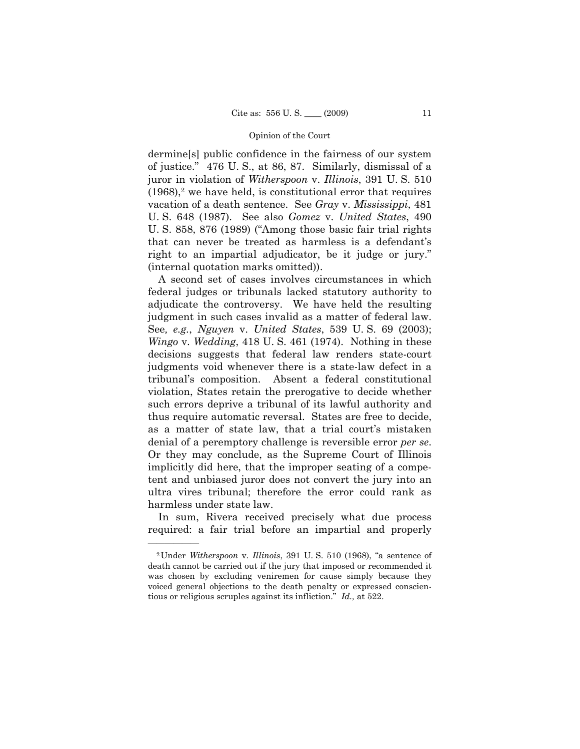dermine[s] public confidence in the fairness of our system of justice." 476 U. S., at 86, 87. Similarly, dismissal of a juror in violation of *Witherspoon* v. *Illinois*, 391 U. S. 510  $(1968)$ ,<sup>2</sup> we have held, is constitutional error that requires vacation of a death sentence. See *Gray* v. *Mississippi*, 481 U. S. 648 (1987). See also *Gomez* v. *United States*, 490 U. S. 858, 876 (1989) ("Among those basic fair trial rights that can never be treated as harmless is a defendant's right to an impartial adjudicator, be it judge or jury." (internal quotation marks omitted)).

A second set of cases involves circumstances in which federal judges or tribunals lacked statutory authority to adjudicate the controversy. We have held the resulting judgment in such cases invalid as a matter of federal law. See*, e.g.*, *Nguyen* v. *United States*, 539 U. S. 69 (2003); *Wingo* v. *Wedding*, 418 U. S. 461 (1974). Nothing in these decisions suggests that federal law renders state-court judgments void whenever there is a state-law defect in a tribunal's composition. Absent a federal constitutional violation, States retain the prerogative to decide whether such errors deprive a tribunal of its lawful authority and thus require automatic reversal. States are free to decide, as a matter of state law, that a trial court's mistaken denial of a peremptory challenge is reversible error *per se*. Or they may conclude, as the Supreme Court of Illinois implicitly did here, that the improper seating of a competent and unbiased juror does not convert the jury into an ultra vires tribunal; therefore the error could rank as harmless under state law.

In sum, Rivera received precisely what due process required: a fair trial before an impartial and properly

——————

<sup>2</sup>Under *Witherspoon* v. *Illinois*, 391 U. S. 510 (1968), "a sentence of death cannot be carried out if the jury that imposed or recommended it was chosen by excluding veniremen for cause simply because they voiced general objections to the death penalty or expressed conscientious or religious scruples against its infliction." *Id.,* at 522.